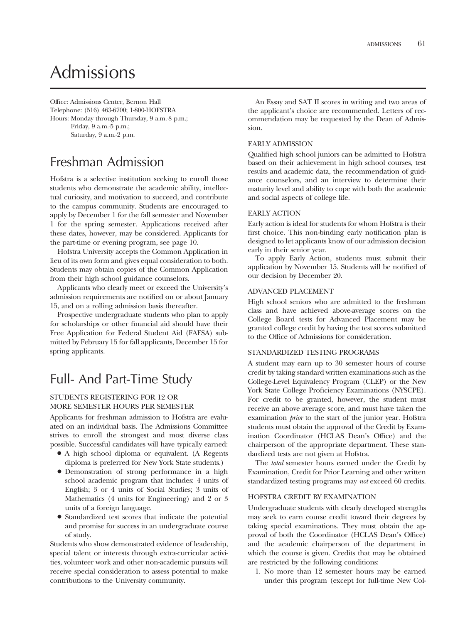# Admissions

Office: Admissions Center, Bernon Hall Telephone: (516) 463-6700; 1-800-HOFSTRA Hours: Monday through Thursday, 9 a.m.-8 p.m.; Friday, 9 a.m.-5 p.m.; Saturday, 9 a.m.-2 p.m.

## Freshman Admission

Hofstra is a selective institution seeking to enroll those students who demonstrate the academic ability, intellectual curiosity, and motivation to succeed, and contribute to the campus community. Students are encouraged to apply by December 1 for the fall semester and November 1 for the spring semester. Applications received after these dates, however, may be considered. Applicants for the part-time or evening program, see page 10.

Hofstra University accepts the Common Application in lieu of its own form and gives equal consideration to both. Students may obtain copies of the Common Application from their high school guidance counselors.

Applicants who clearly meet or exceed the University's admission requirements are notifed on or about January 15, and on a rolling admission basis thereafter.

Prospective undergraduate students who plan to apply for scholarships or other fnancial aid should have their Free Application for Federal Student Aid (FAFSA) submitted by February 15 for fall applicants, December 15 for spring applicants.

# Full- And Part-Time Study

#### STUDENTS REGISTERING FOR 12 OR MORE SEMESTER HOURS PER SEMESTER

Applicants for freshman admission to Hofstra are evaluated on an individual basis. The Admissions Committee strives to enroll the strongest and most diverse class possible. Successful candidates will have typically earned:

- A high school diploma or equivalent. (A Regents diploma is preferred for New York State students.)
- Demonstration of strong performance in a high school academic program that includes: 4 units of English; 3 or 4 units of Social Studies; 3 units of Mathematics (4 units for Engineering) and 2 or 3 units of a foreign language.
- Standardized test scores that indicate the potential and promise for success in an undergraduate course of study.

Students who show demonstrated evidence of leadership, special talent or interests through extra-curricular activities, volunteer work and other non-academic pursuits will receive special consideration to assess potential to make contributions to the University community.

An Essay and SAT II scores in writing and two areas of the applicant's choice are recommended. Letters of recommendation may be requested by the Dean of Admission.

#### EARLY ADMISSION

Qualifed high school juniors can be admitted to Hofstra based on their achievement in high school courses, test results and academic data, the recommendation of guidance counselors, and an interview to determine their maturity level and ability to cope with both the academic and social aspects of college life.

#### EARLY ACTION

Early action is ideal for students for whom Hofstra is their frst choice. This non-binding early notifcation plan is designed to let applicants know of our admission decision early in their senior year.

To apply Early Action, students must submit their application by November 15. Students will be notifed of our decision by December 20.

#### ADVANCED PLACEMENT

High school seniors who are admitted to the freshman class and have achieved above-average scores on the College Board tests for Advanced Placement may be granted college credit by having the test scores submitted to the Office of Admissions for consideration.

#### STANDARDIZED TESTING PROGRAMS

A student may earn up to 30 semester hours of course credit by taking standard written examinations such as the College-Level Equivalency Program (CLEP) or the New York State College Proficiency Examinations (NYSCPE). For credit to be granted, however, the student must receive an above average score, and must have taken the examination *prior* to the start of the junior year. Hofstra students must obtain the approval of the Credit by Examination Coordinator (HCLAS Dean's Office) and the chairperson of the appropriate department. These standardized tests are not given at Hofstra.

The *total* semester hours earned under the Credit by Examination, Credit for Prior Learning and other written standardized testing programs may *not* exceed 60 credits.

#### HOFSTRA CREDIT BY EXAMINATION

Undergraduate students with clearly developed strengths may seek to earn course credit toward their degrees by taking special examinations. They must obtain the approval of both the Coordinator (HCLAS Dean's Office) and the academic chairperson of the department in which the course is given. Credits that may be obtained are restricted by the following conditions:

1. No more than 12 semester hours may be earned under this program (except for full-time New Col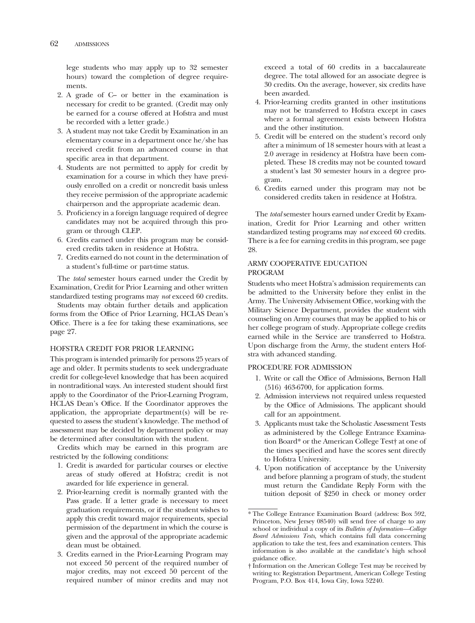lege students who may apply up to 32 semester hours) toward the completion of degree requirements.

- 2. A grade of C– or better in the examination is necessary for credit to be granted. (Credit may only be earned for a course offered at Hofstra and must be recorded with a letter grade.)
- 3. A student may not take Credit by Examination in an elementary course in a department once he/she has received credit from an advanced course in that specifc area in that department.
- 4. Students are not permitted to apply for credit by examination for a course in which they have previously enrolled on a credit or noncredit basis unless they receive permission of the appropriate academic chairperson and the appropriate academic dean.
- 5. Profciency in a foreign language required of degree candidates may not be acquired through this program or through CLEP.
- 6. Credits earned under this program may be considered credits taken in residence at Hofstra.
- 7. Credits earned do not count in the determination of a student's full-time or part-time status.

The *total* semester hours earned under the Credit by Examination, Credit for Prior Learning and other written standardized testing programs may *not* exceed 60 credits.

Students may obtain further details and application forms from the Office of Prior Learning, HCLAS Dean's Office. There is a fee for taking these examinations, see page 27.

#### HOFSTRA CREDIT FOR PRIOR LEARNING

This program is intended primarily for persons 25 years of age and older. It permits students to seek undergraduate credit for college-level knowledge that has been acquired in nontraditional ways. An interested student should frst apply to the Coordinator of the Prior-Learning Program, HCLAS Dean's Office. If the Coordinator approves the application, the appropriate department(s) will be requested to assess the student's knowledge. The method of assessment may be decided by department policy or may be determined after consultation with the student.

Credits which may be earned in this program are restricted by the following conditions:

- 1. Credit is awarded for particular courses or elective areas of study offered at Hofstra; credit is not awarded for life experience in general.
- 2. Prior-learning credit is normally granted with the Pass grade. If a letter grade is necessary to meet graduation requirements, or if the student wishes to apply this credit toward major requirements, special permission of the department in which the course is given and the approval of the appropriate academic dean must be obtained.
- 3. Credits earned in the Prior-Learning Program may not exceed 50 percent of the required number of major credits, may not exceed 50 percent of the required number of minor credits and may not

exceed a total of 60 credits in a baccalaureate degree. The total allowed for an associate degree is 30 credits. On the average, however, six credits have been awarded.

- 4. Prior-learning credits granted in other institutions may not be transferred to Hofstra except in cases where a formal agreement exists between Hofstra and the other institution.
- 5. Credit will be entered on the student's record only after a minimum of 18 semester hours with at least a 2.0 average in residency at Hofstra have been completed. These 18 credits may not be counted toward a student's last 30 semester hours in a degree program.
- 6. Credits earned under this program may not be considered credits taken in residence at Hofstra.

The *total* semester hours earned under Credit by Examination, Credit for Prior Learning and other written standardized testing programs may *not* exceed 60 credits. There is a fee for earning credits in this program, see page 28.

#### ARMY COOPERATIVE EDUCATION PROGRAM

Students who meet Hofstra's admission requirements can be admitted to the University before they enlist in the Army. The University Advisement Office, working with the Military Science Department, provides the student with counseling on Army courses that may be applied to his or her college program of study. Appropriate college credits earned while in the Service are transferred to Hofstra. Upon discharge from the Army, the student enters Hofstra with advanced standing.

#### PROCEDURE FOR ADMISSION

- 1. Write or call the Office of Admissions, Bernon Hall (516) 463-6700, for application forms.
- 2. Admission interviews not required unless requested by the Office of Admissions. The applicant should call for an appointment.
- 3. Applicants must take the Scholastic Assessment Tests as administered by the College Entrance Examination Board\* or the American College Test† at one of the times specifed and have the scores sent directly to Hofstra University.
- 4. Upon notifcation of acceptance by the University and before planning a program of study, the student must return the Candidate Reply Form with the tuition deposit of \$250 in check or money order

<sup>\*</sup> The College Entrance Examination Board (address: Box 592, Princeton, New Jersey 08540) will send free of charge to any school or individual a copy of its *Bulletin of Information—College Board Admissions Tests,* which contains full data concerning application to take the test, fees and examination centers. This information is also available at the candidate's high school guidance office.

<sup>†</sup> Information on the American College Test may be received by writing to: Registration Department, American College Testing Program, P.O. Box 414, Iowa City, Iowa 52240.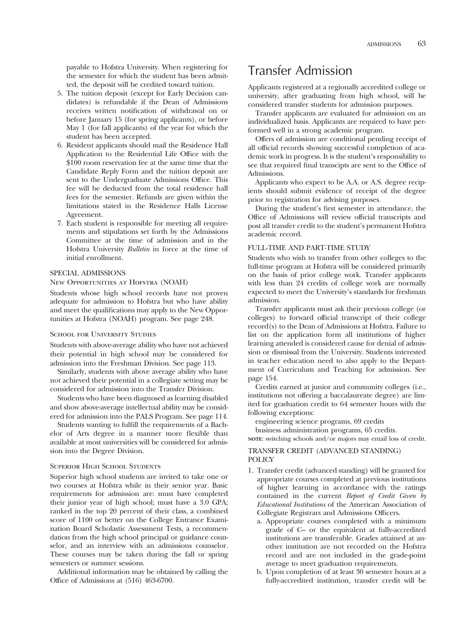payable to Hofstra University. When registering for the semester for which the student has been admitted, the deposit will be credited toward tuition.

- 5. The tuition deposit (except for Early Decision candidates) is refundable if the Dean of Admissions receives written notifcation of withdrawal on or before January 15 (for spring applicants), or before May 1 (for fall applicants) of the year for which the student has been accepted.
- 6. Resident applicants should mail the Residence Hall Application to the Residential Life Office with the \$100 room reservation fee at the same time that the Candidate Reply Form and the tuition deposit are sent to the Undergraduate Admissions Office. This fee will be deducted from the total residence hall fees for the semester. Refunds are given within the limitations stated in the Residence Halls License Agreement.
- 7. Each student is responsible for meeting all requirements and stipulations set forth by the Admissions Committee at the time of admission and in the Hofstra University *Bulletin* in force at the time of initial enrollment.

#### SPECIAL ADMISSIONS

#### New Opportunities at Hofstra (NOAH)

Students whose high school records have not proven adequate for admission to Hofstra but who have ability and meet the qualifcations may apply to the New Opportunities at Hofstra (NOAH) program. See page 248.

#### SCHOOL FOR UNIVERSITY STUDIES

Students with above-average ability who have not achieved their potential in high school may be considered for admission into the Freshman Division. See page 113.

Similarly, students with above average ability who have not achieved their potential in a collegiate setting may be considered for admission into the Transfer Division.

Students who have been diagnosed as learning disabled and show above-average intellectual ability may be considered for admission into the PALS Program. See page 114.

Students wanting to fulfll the requirements of a Bachelor of Arts degree in a manner more fexible than available at most universities will be considered for admission into the Degree Division.

#### Superior High School Students

Superior high school students are invited to take one or two courses at Hofstra while in their senior year. Basic requirements for admission are: must have completed their junior year of high school; must have a 3.0 GPA; ranked in the top 20 percent of their class, a combined score of 1100 or better on the College Entrance Examination Board Scholastic Assessment Tests, a recommendation from the high school principal or guidance counselor, and an interview with an admissions counselor. These courses may be taken during the fall or spring semesters or summer sessions.

Additional information may be obtained by calling the Office of Admissions at  $(516)$  463-6700.

## Transfer Admission

Applicants registered at a regionally accredited college or university, after graduating from high school, will be considered transfer students for admission purposes.

Transfer applicants are evaluated for admission on an individualized basis. Applicants are required to have performed well in a strong academic program.

Offers of admission are conditional pending receipt of all official records showing successful completion of academic work in progress. It is the student's responsibility to see that required final transcipts are sent to the Office of Admissions.

Applicants who expect to be A.A. or A.S. degree recipients should submit evidence of receipt of the degree prior to registration for advising purposes.

During the student's frst semester in attendance, the Office of Admissions will review official transcripts and post all transfer credit to the student's permanent Hofstra academic record.

#### FULL-TIME AND PART-TIME STUDY

Students who wish to transfer from other colleges to the full-time program at Hofstra will be considered primarily on the basis of prior college work. Transfer applicants with less than 24 credits of college work are normally expected to meet the University's standards for freshman admission.

Transfer applicants must ask their previous college (or colleges) to forward official transcript of their college record(s) to the Dean of Admissions at Hofstra. Failure to list on the application form all institutions of higher learning attended is considered cause for denial of admission or dismissal from the University. Students interested in teacher education need to also apply to the Department of Curriculum and Teaching for admission. See page 154.

Credits earned at junior and community colleges (i.e., institutions not offering a baccalaureate degree) are limited for graduation credit to 64 semester hours with the following exceptions:

engineering science programs, 69 credits

business administration programs, 65 credits.

**NOTE**: switching schools and/or majors may entail loss of credit.

#### TRANSFER CREDIT (ADVANCED STANDING) **POLICY**

- 1. Transfer credit (advanced standing) will be granted for appropriate courses completed at previous institutions of higher learning in accordance with the ratings contained in the current *Report of Credit Given by Educational Institutions* of the American Association of Collegiate Registrars and Admissions Officers.
	- a. Appropriate courses completed with a minimum grade of C– or the equivalent at fully-accredited institutions are transferable. Grades attained at another institution are not recorded on the Hofstra record and are not included in the grade-point average to meet graduation requirements.
	- b. Upon completion of at least 30 semester hours at a fully-accredited institution, transfer credit will be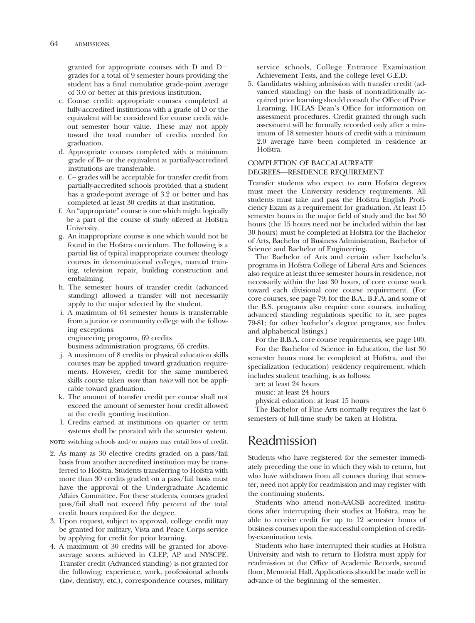granted for appropriate courses with D and D grades for a total of 9 semester hours providing the student has a fnal cumulative grade-point average of 3.0 or better at this previous institution.

- c. Course credit: appropriate courses completed at fully-accredited institutions with a grade of D or the equivalent will be considered for course credit without semester hour value. These may not apply toward the total number of credits needed for graduation.
- d. Appropriate courses completed with a minimum grade of B– or the equivalent at partially-accredited institutions are transferable.
- e. C– grades will be acceptable for transfer credit from partially-accredited schools provided that a student has a grade-point average of 3.2 or better and has completed at least 30 credits at that institution.
- f. An "appropriate" course is one which might logically be a part of the course of study offered at Hofstra University.
- g. An inappropriate course is one which would not be found in the Hofstra curriculum. The following is a partial list of typical inappropriate courses: theology courses in denominational colleges, manual training, television repair, building construction and embalming.
- h. The semester hours of transfer credit (advanced standing) allowed a transfer will not necessarily apply to the major selected by the student.
- i. A maximum of 64 semester hours is transferrable from a junior or community college with the following exceptions:

engineering programs, 69 credits

business administration programs, 65 credits.

- j. A maximum of 8 credits in physical education skills courses may be applied toward graduation requirements. However, credit for the same numbered skills course taken *more* than *twice* will not be applicable toward graduation.
- k. The amount of transfer credit per course shall not exceed the amount of semester hour credit allowed at the credit granting institution.
- l. Credits earned at institutions on quarter or term systems shall be prorated with the semester system.

**NOTE:** switching schools and/or majors may entail loss of credit.

- 2. As many as 30 elective credits graded on a pass/fail basis from another accredited institution may be transferred to Hofstra. Students transferring to Hofstra with more than 30 credits graded on a pass/fail basis must have the approval of the Undergraduate Academic Affairs Committee. For these students, courses graded pass/fail shall not exceed ffty percent of the total credit hours required for the degree.
- 3. Upon request, subject to approval, college credit may be granted for military, Vista and Peace Corps service by applying for credit for prior learning.
- 4. A maximum of 30 credits will be granted for aboveaverage scores achieved in CLEP, AP and NYSCPE. Transfer credit (Advanced standing) is not granted for the following: experience, work, professional schools (law, dentistry, etc.), correspondence courses, military

service schools, College Entrance Examination Achievement Tests, and the college level G.E.D.

5. Candidates wishing admission with transfer credit (advanced standing) on the basis of nontraditionally acquired prior learning should consult the Office of Prior Learning, HCLAS Dean's Office for information on assessment procedures. Credit granted through such assessment will be formally recorded only after a minimum of 18 semester hours of credit with a minimum 2.0 average have been completed in residence at Hofstra.

#### COMPLETION OF BACCALAUREATE DEGREES—RESIDENCE REQUIREMENT

Transfer students who expect to earn Hofstra degrees must meet the University residency requirements. All students must take and pass the Hofstra English Profciency Exam as a requirement for graduation. At least 15 semester hours in the major feld of study and the last 30 hours (the 15 hours need not be included within the last 30 hours) must be completed at Hofstra for the Bachelor of Arts, Bachelor of Business Administration, Bachelor of Science and Bachelor of Engineering.

The Bachelor of Arts and certain other bachelor's programs in Hofstra College of Liberal Arts and Sciences also require at least three semester hours in residence, not necessarily within the last 30 hours, of core course work toward each divisional core course requirement. (For core courses, see page 79; for the B.A., B.F.A. and some of the B.S. programs also require core courses, including advanced standing regulations specifc to it, see pages 79-81; for other bachelor's degree programs, see Index and alphabetical listings.)

For the B.B.A. core course requirements, see page 100.

For the Bachelor of Science in Education, the last 30 semester hours must be completed at Hofstra, and the specialization (education) residency requirement, which includes student teaching, is as follows:

art: at least 24 hours

music: at least 24 hours

physical education: at least 15 hours

The Bachelor of Fine Arts normally requires the last 6 semesters of full-time study be taken at Hofstra.

# Readmission

Students who have registered for the semester immediately preceding the one in which they wish to return, but who have withdrawn from all courses during that semester, need not apply for readmission and may register with the continuing students.

Students who attend non-AACSB accredited institutions after interrupting their studies at Hofstra, may be able to receive credit for up to 12 semester hours of business courses upon the successful completion of creditby-examination tests.

Students who have interrupted their studies at Hofstra University and wish to return to Hofstra must apply for readmission at the Office of Academic Records, second floor, Memorial Hall. Applications should be made well in advance of the beginning of the semester.